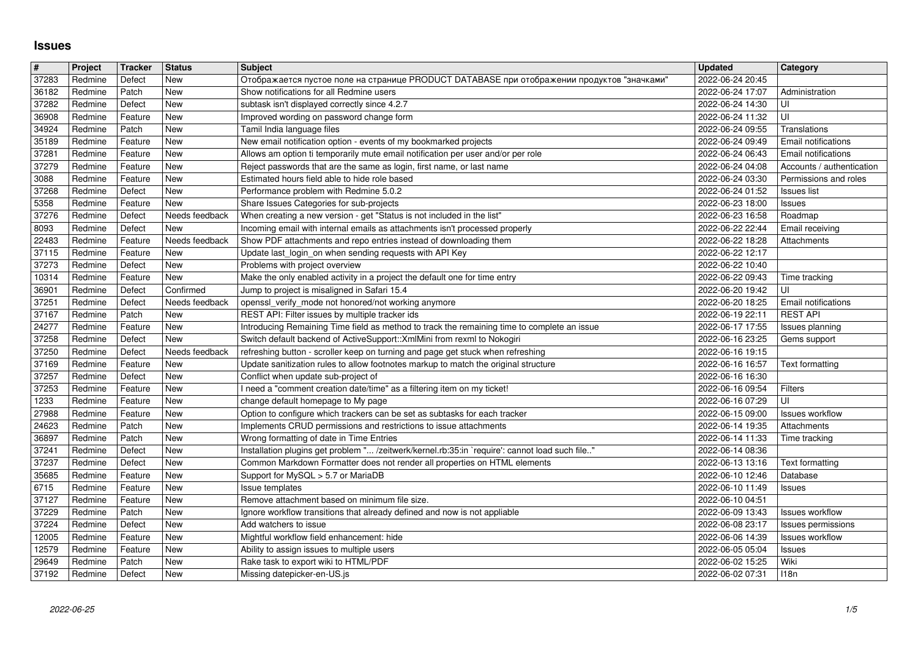## **Issues**

| #              | Project            | Tracker            | <b>Status</b>            | <b>Subject</b>                                                                                                                                              | <b>Updated</b>                       | <b>Category</b>                                    |
|----------------|--------------------|--------------------|--------------------------|-------------------------------------------------------------------------------------------------------------------------------------------------------------|--------------------------------------|----------------------------------------------------|
| 37283<br>36182 | Redmine<br>Redmine | Defect<br>Patch    | <b>New</b><br><b>New</b> | Отображается пустое поле на странице PRODUCT DATABASE при отображении продуктов "значками"<br>Show notifications for all Redmine users                      | 2022-06-24 20:45<br>2022-06-24 17:07 | Administration                                     |
| 37282          | Redmine            | Defect             | <b>New</b>               | subtask isn't displayed correctly since 4.2.7                                                                                                               | 2022-06-24 14:30                     | UI                                                 |
| 36908          | Redmine            | Feature            | <b>New</b>               | Improved wording on password change form                                                                                                                    | 2022-06-24 11:32                     | UI                                                 |
| 34924<br>35189 | Redmine<br>Redmine | Patch<br>Feature   | New<br><b>New</b>        | Tamil India language files<br>New email notification option - events of my bookmarked projects                                                              | 2022-06-24 09:55<br>2022-06-24 09:49 | Translations<br>Email notifications                |
| 37281          | Redmine            | Feature            | <b>New</b>               | Allows am option ti temporarily mute email notification per user and/or per role                                                                            | 2022-06-24 06:43                     | <b>Email notifications</b>                         |
| 37279          | Redmine<br>Redmine | Feature<br>Feature | New<br>New               | Reject passwords that are the same as login, first name, or last name<br>Estimated hours field able to hide role based                                      | 2022-06-24 04:08<br>2022-06-24 03:30 | Accounts / authentication<br>Permissions and roles |
| 3088<br>37268  | Redmine            | Defect             | New                      | Performance problem with Redmine 5.0.2                                                                                                                      | 2022-06-24 01:52                     | <b>Issues</b> list                                 |
| 5358           | Redmine            | Feature            | <b>New</b>               | Share Issues Categories for sub-projects                                                                                                                    | 2022-06-23 18:00                     | <b>Issues</b>                                      |
| 37276<br>8093  | Redmine<br>Redmine | Defect<br>Defect   | Needs feedback<br>New    | When creating a new version - get "Status is not included in the list"<br>Incoming email with internal emails as attachments isn't processed properly       | 2022-06-23 16:58<br>2022-06-22 22:44 | Roadmap<br>Email receiving                         |
| 22483          | Redmine            | Feature            | Needs feedback           | Show PDF attachments and repo entries instead of downloading them                                                                                           | 2022-06-22 18:28                     | Attachments                                        |
| 37115<br>37273 | Redmine<br>Redmine | Feature<br>Defect  | <b>New</b><br>New        | Update last_login_on when sending requests with API Key<br>Problems with project overview                                                                   | 2022-06-22 12:17<br>2022-06-22 10:40 |                                                    |
| 10314          | Redmine            | Feature            | <b>New</b>               | Make the only enabled activity in a project the default one for time entry                                                                                  | 2022-06-22 09:43                     | Time tracking                                      |
| 36901          | Redmine            | Defect             | Confirmed                | Jump to project is misaligned in Safari 15.4                                                                                                                | 2022-06-20 19:42                     | UI                                                 |
| 37251<br>37167 | Redmine<br>Redmine | Defect<br>Patch    | Needs feedback<br>New    | openssl_verify_mode not honored/not working anymore<br>REST API: Filter issues by multiple tracker ids                                                      | 2022-06-20 18:25<br>2022-06-19 22:11 | Email notifications<br><b>REST API</b>             |
| 24277          | Redmine            | Feature            | <b>New</b>               | Introducing Remaining Time field as method to track the remaining time to complete an issue                                                                 | 2022-06-17 17:55                     | Issues planning                                    |
| 37258<br>37250 | Redmine<br>Redmine | Defect<br>Defect   | New<br>Needs feedback    | Switch default backend of ActiveSupport:: XmlMini from rexml to Nokogiri<br>refreshing button - scroller keep on turning and page get stuck when refreshing | 2022-06-16 23:25<br>2022-06-16 19:15 | Gems support                                       |
| 37169          | Redmine            | Feature            | <b>New</b>               | Update sanitization rules to allow footnotes markup to match the original structure                                                                         | 2022-06-16 16:57                     | Text formatting                                    |
| 37257<br>37253 | Redmine<br>Redmine | Defect<br>Feature  | New<br>New               | Conflict when update sub-project of<br>I need a "comment creation date/time" as a filtering item on my ticket!                                              | 2022-06-16 16:30<br>2022-06-16 09:54 | Filters                                            |
| 1233           | Redmine            | Feature            | New                      | change default homepage to My page                                                                                                                          | 2022-06-16 07:29                     | UI                                                 |
| 27988          | Redmine            | Feature            | New                      | Option to configure which trackers can be set as subtasks for each tracker                                                                                  | 2022-06-15 09:00                     | <b>Issues workflow</b>                             |
| 24623<br>36897 | Redmine<br>Redmine | Patch<br>Patch     | New<br><b>New</b>        | Implements CRUD permissions and restrictions to issue attachments<br>Wrong formatting of date in Time Entries                                               | 2022-06-14 19:35<br>2022-06-14 11:33 | Attachments<br>Time tracking                       |
| 37241          | Redmine            | Defect             | <b>New</b>               | Installation plugins get problem " /zeitwerk/kernel.rb:35:in `require': cannot load such file"                                                              | 2022-06-14 08:36                     |                                                    |
| 37237          | Redmine            | Defect             | <b>New</b>               | Common Markdown Formatter does not render all properties on HTML elements                                                                                   | 2022-06-13 13:16                     | <b>Text formatting</b>                             |
| 35685<br>6715  | Redmine<br>Redmine | Feature<br>Feature | New<br>New               | Support for MySQL > 5.7 or MariaDB<br>Issue templates                                                                                                       | 2022-06-10 12:46<br>2022-06-10 11:49 | Database<br><b>Issues</b>                          |
| 37127          | Redmine            | Feature            | New                      | Remove attachment based on minimum file size.                                                                                                               | 2022-06-10 04:51                     |                                                    |
| 37229<br>37224 | Redmine<br>Redmine | Patch<br>Defect    | New<br><b>New</b>        | Ignore workflow transitions that already defined and now is not appliable<br>Add watchers to issue                                                          | 2022-06-09 13:43<br>2022-06-08 23:17 | Issues workflow<br>Issues permissions              |
| 12005          | Redmine            | Feature            | New                      | Mightful workflow field enhancement: hide                                                                                                                   | 2022-06-06 14:39                     | <b>Issues workflow</b>                             |
| 12579          | Redmine            | Feature            | New                      | Ability to assign issues to multiple users                                                                                                                  | 2022-06-05 05:04   Issues            |                                                    |
| 29649<br>37192 | Redmine<br>Redmine | Patch<br>Defect    | <b>New</b><br>New        | Rake task to export wiki to HTML/PDF<br>Missing datepicker-en-US.js                                                                                         | 2022-06-02 15:25<br>2022-06-02 07:31 | Wiki<br>118n                                       |
|                |                    |                    |                          |                                                                                                                                                             |                                      |                                                    |
|                |                    |                    |                          |                                                                                                                                                             |                                      |                                                    |
|                |                    |                    |                          |                                                                                                                                                             |                                      |                                                    |
|                |                    |                    |                          |                                                                                                                                                             |                                      |                                                    |
|                |                    |                    |                          |                                                                                                                                                             |                                      |                                                    |
|                |                    |                    |                          |                                                                                                                                                             |                                      |                                                    |
|                |                    |                    |                          |                                                                                                                                                             |                                      |                                                    |
|                |                    |                    |                          |                                                                                                                                                             |                                      |                                                    |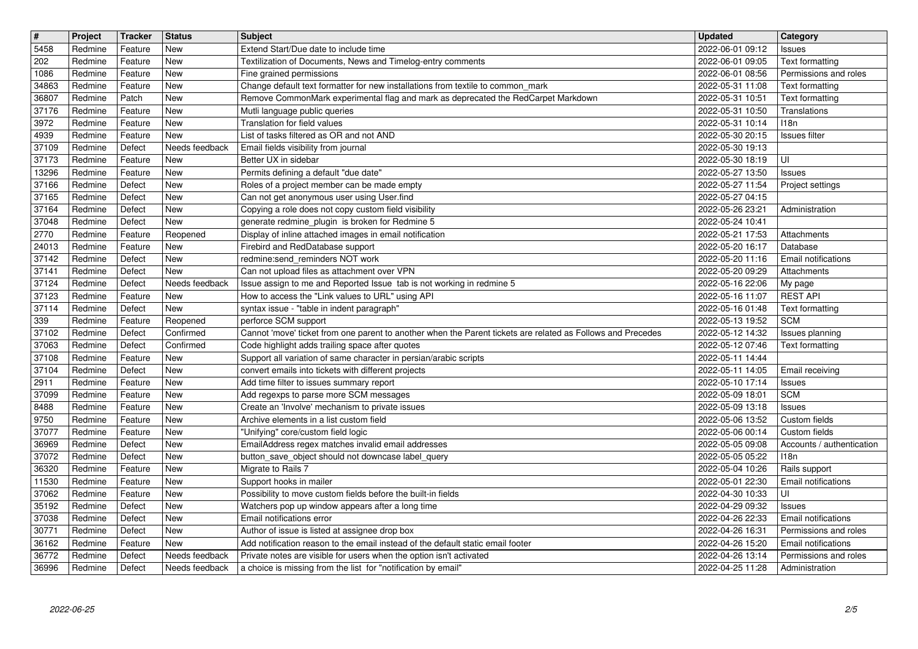| $\overline{\boldsymbol{H}}$ | Project            | Tracker            | <b>Status</b>          | <b>Subject</b>                                                                                                                                                       | <b>Updated</b>                       | Category                                     |
|-----------------------------|--------------------|--------------------|------------------------|----------------------------------------------------------------------------------------------------------------------------------------------------------------------|--------------------------------------|----------------------------------------------|
| 5458<br>202                 | Redmine<br>Redmine | Feature<br>Feature | New<br>New             | Extend Start/Due date to include time<br>Textilization of Documents, News and Timelog-entry comments                                                                 | 2022-06-01 09:12<br>2022-06-01 09:05 | <b>Issues</b><br><b>Text formatting</b>      |
| 1086                        | Redmine            | Feature            | New                    | Fine grained permissions                                                                                                                                             | 2022-06-01 08:56                     | Permissions and roles                        |
| 34863<br>36807              | Redmine<br>Redmine | Feature<br>Patch   | New<br>New             | Change default text formatter for new installations from textile to common_mark<br>Remove CommonMark experimental flag and mark as deprecated the RedCarpet Markdown | 2022-05-31 11:08<br>2022-05-31 10:51 | <b>Text formatting</b><br>Text formatting    |
| 37176                       | Redmine            | Feature            | New                    | Mutli language public queries                                                                                                                                        | 2022-05-31 10:50                     | Translations                                 |
| 3972<br>4939                | Redmine<br>Redmine | Feature<br>Feature | New<br>New             | Translation for field values<br>List of tasks filtered as OR and not AND                                                                                             | 2022-05-31 10:14<br>2022-05-30 20:15 | 118n<br>Issues filter                        |
| 37109                       | Redmine            | Defect             | Needs feedback         | Email fields visibility from journal                                                                                                                                 | 2022-05-30 19:13                     |                                              |
| 37173                       | Redmine            | Feature            | New<br>New             | Better UX in sidebar                                                                                                                                                 | 2022-05-30 18:19<br>2022-05-27 13:50 | UI                                           |
| 13296<br>37166              | Redmine<br>Redmine | Feature<br>Defect  | <b>New</b>             | Permits defining a default "due date"<br>Roles of a project member can be made empty                                                                                 | 2022-05-27 11:54                     | <b>Issues</b><br>Project settings            |
| 37165                       | Redmine            | Defect             | New                    | Can not get anonymous user using User.find                                                                                                                           | 2022-05-27 04:15                     |                                              |
| 37164<br>37048              | Redmine<br>Redmine | Defect<br>Defect   | New<br>New             | Copying a role does not copy custom field visibility<br>generate redmine_plugin is broken for Redmine 5                                                              | 2022-05-26 23:21<br>2022-05-24 10:41 | Administration                               |
| 2770                        | Redmine            | Feature            | Reopened               | Display of inline attached images in email notification                                                                                                              | 2022-05-21 17:53                     | Attachments                                  |
| 24013<br>37142              | Redmine<br>Redmine | Feature<br>Defect  | New<br>New             | Firebird and RedDatabase support<br>redmine:send_reminders NOT work                                                                                                  | 2022-05-20 16:17<br>2022-05-20 11:16 | Database<br>Email notifications              |
| 37141                       | Redmine            | Defect             | New                    | Can not upload files as attachment over VPN                                                                                                                          | 2022-05-20 09:29                     | Attachments                                  |
| 37124                       | Redmine            | Defect             | Needs feedback<br>New  | Issue assign to me and Reported Issue tab is not working in redmine 5                                                                                                | 2022-05-16 22:06                     | My page<br><b>REST API</b>                   |
| 37123<br>37114              | Redmine<br>Redmine | Feature<br>Defect  | New                    | How to access the "Link values to URL" using API<br>syntax issue - "table in indent paragraph"                                                                       | 2022-05-16 11:07<br>2022-05-16 01:48 | <b>Text formatting</b>                       |
| 339                         | Redmine            | Feature            | Reopened               | perforce SCM support                                                                                                                                                 | 2022-05-13 19:52                     | <b>SCM</b>                                   |
| 37102<br>37063              | Redmine<br>Redmine | Defect<br>Defect   | Confirmed<br>Confirmed | Cannot 'move' ticket from one parent to another when the Parent tickets are related as Follows and Precedes<br>Code highlight adds trailing space after quotes       | 2022-05-12 14:32<br>2022-05-12 07:46 | Issues planning<br>Text formatting           |
| 37108                       | Redmine            | Feature            | New                    | Support all variation of same character in persian/arabic scripts                                                                                                    | 2022-05-11 14:44                     |                                              |
| 37104<br>2911               | Redmine<br>Redmine | Defect<br>Feature  | New<br>New             | convert emails into tickets with different projects<br>Add time filter to issues summary report                                                                      | 2022-05-11 14:05<br>2022-05-10 17:14 | Email receiving<br><b>Issues</b>             |
| 37099                       | Redmine            | Feature            | <b>New</b>             | Add regexps to parse more SCM messages                                                                                                                               | 2022-05-09 18:01                     | <b>SCM</b>                                   |
| 8488                        | Redmine            | Feature            | New                    | Create an 'Involve' mechanism to private issues                                                                                                                      | 2022-05-09 13:18                     | Issues                                       |
| 9750<br>37077               | Redmine<br>Redmine | Feature<br>Feature | New<br>New             | Archive elements in a list custom field<br>"Unifying" core/custom field logic                                                                                        | 2022-05-06 13:52<br>2022-05-06 00:14 | Custom fields<br>Custom fields               |
| 36969                       | Redmine            | Defect             | New                    | EmailAddress regex matches invalid email addresses                                                                                                                   | 2022-05-05 09:08                     | Accounts / authentication                    |
| 37072<br>36320              | Redmine<br>Redmine | Defect<br>Feature  | New<br>New             | button_save_object should not downcase label_query<br>Migrate to Rails 7                                                                                             | 2022-05-05 05:22<br>2022-05-04 10:26 | 118n<br>Rails support                        |
| 11530                       | Redmine            | Feature            | New                    | Support hooks in mailer                                                                                                                                              | 2022-05-01 22:30                     | Email notifications                          |
| 37062                       | Redmine            | Feature            | New                    | Possibility to move custom fields before the built-in fields                                                                                                         | 2022-04-30 10:33                     | UI                                           |
| 35192<br>37038              | Redmine<br>Redmine | Defect<br>Defect   | New<br>New             | Watchers pop up window appears after a long time<br>Email notifications error                                                                                        | 2022-04-29 09:32<br>2022-04-26 22:33 | Issues<br>Email notifications                |
| 30771                       | Redmine            | Defect             | New                    | Author of issue is listed at assignee drop box                                                                                                                       | 2022-04-26 16:31                     | Permissions and roles                        |
| 36162<br>36772              | Redmine<br>Redmine | Feature<br>Defect  | New<br>Needs feedback  | Add notification reason to the email instead of the default static email footer<br>Private notes are visible for users when the option isn't activated               | 2022-04-26 15:20<br>2022-04-26 13:14 | Email notifications<br>Permissions and roles |
| 36996                       | Redmine            | Defect             | Needs feedback         | a choice is missing from the list for "notification by email"                                                                                                        | 2022-04-25 11:28                     | Administration                               |
|                             | 2022-06-25         |                    |                        |                                                                                                                                                                      |                                      | 2/5                                          |
|                             |                    |                    |                        |                                                                                                                                                                      |                                      |                                              |
|                             |                    |                    |                        |                                                                                                                                                                      |                                      |                                              |
|                             |                    |                    |                        |                                                                                                                                                                      |                                      |                                              |
|                             |                    |                    |                        |                                                                                                                                                                      |                                      |                                              |
|                             |                    |                    |                        |                                                                                                                                                                      |                                      |                                              |
|                             |                    |                    |                        |                                                                                                                                                                      |                                      |                                              |
|                             |                    |                    |                        |                                                                                                                                                                      |                                      |                                              |
|                             |                    |                    |                        |                                                                                                                                                                      |                                      |                                              |
|                             |                    |                    |                        |                                                                                                                                                                      |                                      |                                              |
|                             |                    |                    |                        |                                                                                                                                                                      |                                      |                                              |
|                             |                    |                    |                        |                                                                                                                                                                      |                                      |                                              |
|                             |                    |                    |                        |                                                                                                                                                                      |                                      |                                              |
|                             |                    |                    |                        |                                                                                                                                                                      |                                      |                                              |
|                             |                    |                    |                        |                                                                                                                                                                      |                                      |                                              |
|                             |                    |                    |                        |                                                                                                                                                                      |                                      |                                              |
|                             |                    |                    |                        |                                                                                                                                                                      |                                      |                                              |
|                             |                    |                    |                        |                                                                                                                                                                      |                                      |                                              |
|                             |                    |                    |                        |                                                                                                                                                                      |                                      |                                              |
|                             |                    |                    |                        |                                                                                                                                                                      |                                      |                                              |
|                             |                    |                    |                        |                                                                                                                                                                      |                                      |                                              |
|                             |                    |                    |                        |                                                                                                                                                                      |                                      |                                              |
|                             |                    |                    |                        |                                                                                                                                                                      |                                      |                                              |
|                             |                    |                    |                        |                                                                                                                                                                      |                                      |                                              |
|                             |                    |                    |                        |                                                                                                                                                                      |                                      |                                              |
|                             |                    |                    |                        |                                                                                                                                                                      |                                      |                                              |
|                             |                    |                    |                        |                                                                                                                                                                      |                                      |                                              |
|                             |                    |                    |                        |                                                                                                                                                                      |                                      |                                              |
|                             |                    |                    |                        |                                                                                                                                                                      |                                      |                                              |
|                             |                    |                    |                        |                                                                                                                                                                      |                                      |                                              |
|                             |                    |                    |                        |                                                                                                                                                                      |                                      |                                              |
|                             |                    |                    |                        |                                                                                                                                                                      |                                      |                                              |
|                             |                    |                    |                        |                                                                                                                                                                      |                                      |                                              |
|                             |                    |                    |                        |                                                                                                                                                                      |                                      |                                              |
|                             |                    |                    |                        |                                                                                                                                                                      |                                      |                                              |
|                             |                    |                    |                        |                                                                                                                                                                      |                                      |                                              |
|                             |                    |                    |                        |                                                                                                                                                                      |                                      |                                              |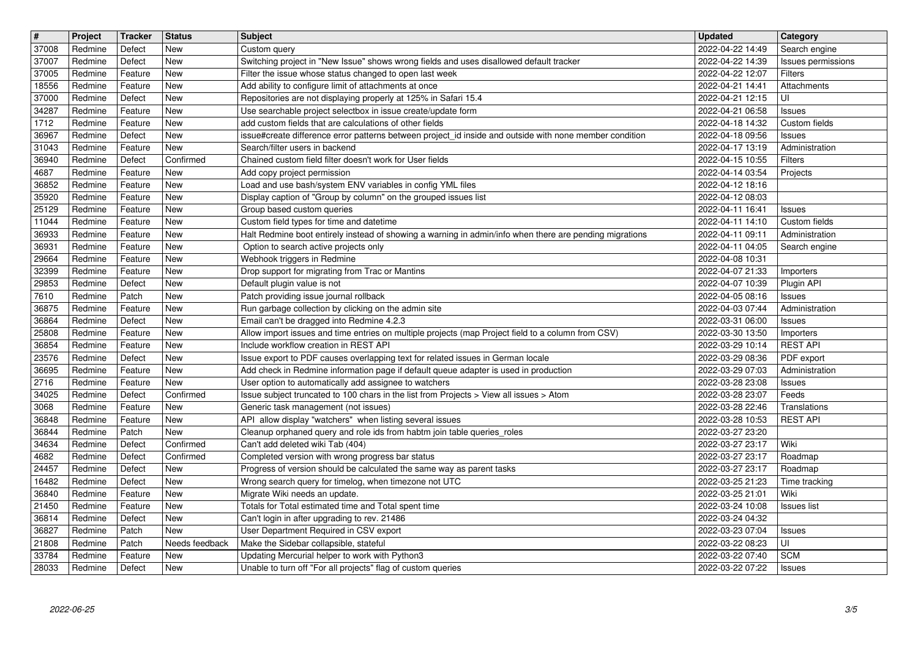| $\overline{\boldsymbol{H}}$<br>37008 | Project<br>Redmine | Tracker<br>Defect  | <b>Status</b><br>New  | <b>Subject</b>                                                                                                                                                          | <b>Updated</b><br>2022-04-22 14:49   | Category                            |
|--------------------------------------|--------------------|--------------------|-----------------------|-------------------------------------------------------------------------------------------------------------------------------------------------------------------------|--------------------------------------|-------------------------------------|
| 37007                                | Redmine            | Defect             | New                   | Custom query<br>Switching project in "New Issue" shows wrong fields and uses disallowed default tracker                                                                 | 2022-04-22 14:39                     | Search engine<br>Issues permissions |
| 37005<br>18556                       | Redmine<br>Redmine | Feature<br>Feature | New<br>New            | Filter the issue whose status changed to open last week<br>Add ability to configure limit of attachments at once                                                        | 2022-04-22 12:07<br>2022-04-21 14:41 | Filters<br>Attachments              |
| 37000                                | Redmine            | Defect             | New                   | Repositories are not displaying properly at 125% in Safari 15.4                                                                                                         | 2022-04-21 12:15                     | UI                                  |
| 34287<br>1712                        | Redmine<br>Redmine | Feature<br>Feature | New<br>New            | Use searchable project selectbox in issue create/update form<br>add custom fields that are calculations of other fields                                                 | 2022-04-21 06:58<br>2022-04-18 14:32 | <b>Issues</b><br>Custom fields      |
| 36967                                | Redmine            | Defect             | New                   | issue#create difference error patterns between project_id inside and outside with none member condition                                                                 | 2022-04-18 09:56                     | <b>Issues</b>                       |
| 31043<br>36940                       | Redmine<br>Redmine | Feature<br>Defect  | New<br>Confirmed      | Search/filter users in backend<br>Chained custom field filter doesn't work for User fields                                                                              | 2022-04-17 13:19<br>2022-04-15 10:55 | Administration<br>Filters           |
| 4687                                 | Redmine            | Feature            | New                   | Add copy project permission                                                                                                                                             | 2022-04-14 03:54                     | Projects                            |
| 36852<br>35920                       | Redmine<br>Redmine | Feature<br>Feature | New<br>New            | Load and use bash/system ENV variables in config YML files<br>Display caption of "Group by column" on the grouped issues list                                           | 2022-04-12 18:16<br>2022-04-12 08:03 |                                     |
| 25129                                | Redmine            | Feature            | New                   | Group based custom queries                                                                                                                                              | 2022-04-11 16:41                     | <b>Issues</b>                       |
| 11044<br>36933                       | Redmine<br>Redmine | Feature<br>Feature | New<br>New            | Custom field types for time and datetime<br>Halt Redmine boot entirely instead of showing a warning in admin/info when there are pending migrations                     | 2022-04-11 14:10<br>2022-04-11 09:11 | Custom fields<br>Administration     |
| 36931                                | Redmine            | Feature            | New                   | Option to search active projects only                                                                                                                                   | 2022-04-11 04:05                     | Search engine                       |
| 29664<br>32399                       | Redmine<br>Redmine | Feature<br>Feature | New<br><b>New</b>     | Webhook triggers in Redmine<br>Drop support for migrating from Trac or Mantins                                                                                          | 2022-04-08 10:31<br>2022-04-07 21:33 | Importers                           |
| 29853<br>7610                        | Redmine<br>Redmine | Defect<br>Patch    | <b>New</b><br>New     | Default plugin value is not<br>Patch providing issue journal rollback                                                                                                   | 2022-04-07 10:39<br>2022-04-05 08:16 | Plugin API<br><b>Issues</b>         |
| 36875                                | Redmine            | Feature            | New                   | Run garbage collection by clicking on the admin site                                                                                                                    | 2022-04-03 07:44                     | Administration                      |
| 36864<br>25808                       | Redmine<br>Redmine | Defect<br>Feature  | New<br>New            | Email can't be dragged into Redmine 4.2.3<br>Allow import issues and time entries on multiple projects (map Project field to a column from CSV)                         | 2022-03-31 06:00<br>2022-03-30 13:50 | <b>Issues</b><br>Importers          |
| 36854                                | Redmine            | Feature            | New                   | Include workflow creation in REST API                                                                                                                                   | 2022-03-29 10:14                     | <b>REST API</b>                     |
| 23576<br>36695                       | Redmine<br>Redmine | Defect<br>Feature  | New<br>New            | Issue export to PDF causes overlapping text for related issues in German locale<br>Add check in Redmine information page if default queue adapter is used in production | 2022-03-29 08:36<br>2022-03-29 07:03 | PDF export<br>Administration        |
| 2716                                 | Redmine            | Feature            | New                   | User option to automatically add assignee to watchers                                                                                                                   | 2022-03-28 23:08                     | <b>Issues</b>                       |
| 34025<br>3068                        | Redmine<br>Redmine | Defect<br>Feature  | Confirmed<br>New      | Issue subject truncated to 100 chars in the list from Projects > View all issues > Atom<br>Generic task management (not issues)                                         | 2022-03-28 23:07<br>2022-03-28 22:46 | Feeds<br>Translations               |
| 36848                                | Redmine            | Feature            | New                   | API allow display "watchers" when listing several issues                                                                                                                | 2022-03-28 10:53                     | <b>REST API</b>                     |
| 36844<br>34634                       | Redmine<br>Redmine | Patch<br>Defect    | New<br>Confirmed      | Cleanup orphaned query and role ids from habtm join table queries_roles<br>Can't add deleted wiki Tab (404)                                                             | 2022-03-27 23:20<br>2022-03-27 23:17 | Wiki                                |
| 4682                                 | Redmine            | Defect             | Confirmed             | Completed version with wrong progress bar status                                                                                                                        | 2022-03-27 23:17                     | Roadmap                             |
| 24457<br>16482                       | Redmine<br>Redmine | Defect<br>Defect   | New<br>New            | Progress of version should be calculated the same way as parent tasks<br>Wrong search query for timelog, when timezone not UTC                                          | 2022-03-27 23:17<br>2022-03-25 21:23 | Roadmap<br>Time tracking            |
| 36840                                | Redmine            | Feature            | New                   | Migrate Wiki needs an update.                                                                                                                                           | 2022-03-25 21:01                     | Wiki                                |
| 21450<br>$\boxed{36814}$             | Redmine<br>Redmine | Feature<br>Defect  | New<br>New            | Totals for Total estimated time and Total spent time<br>Can't login in after upgrading to rev. 21486                                                                    | 2022-03-24 10:08<br>2022-03-24 04:32 | <b>Issues list</b>                  |
| 36827                                | Redmine            | Patch              | New                   | User Department Required in CSV export                                                                                                                                  | 2022-03-23 07:04                     | <b>Issues</b>                       |
| 21808<br>33784                       | Redmine<br>Redmine | Patch<br>Feature   | Needs feedback<br>New | Make the Sidebar collapsible, stateful<br>Updating Mercurial helper to work with Python3                                                                                | 2022-03-22 08:23<br>2022-03-22 07:40 | UI<br><b>SCM</b>                    |
| 28033                                | Redmine            | Defect             | New                   | Unable to turn off "For all projects" flag of custom queries                                                                                                            | 2022-03-22 07:22                     | <b>Issues</b>                       |
|                                      |                    |                    |                       |                                                                                                                                                                         |                                      |                                     |
|                                      |                    |                    |                       |                                                                                                                                                                         |                                      |                                     |
|                                      |                    |                    |                       |                                                                                                                                                                         |                                      |                                     |
|                                      |                    |                    |                       |                                                                                                                                                                         |                                      |                                     |
|                                      |                    |                    |                       |                                                                                                                                                                         |                                      |                                     |
|                                      |                    |                    |                       |                                                                                                                                                                         |                                      |                                     |
|                                      |                    |                    |                       |                                                                                                                                                                         |                                      |                                     |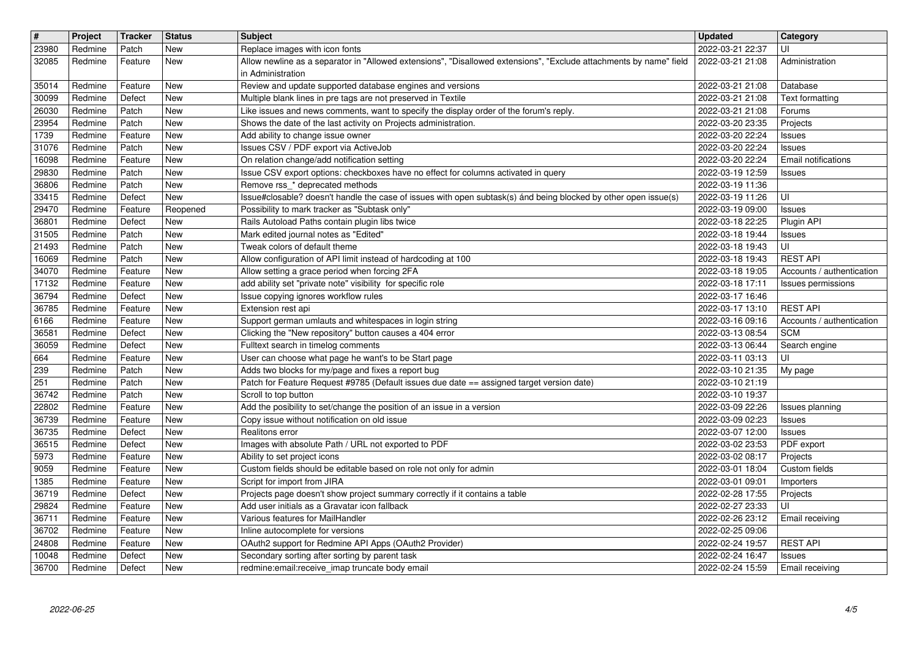| $\overline{\mathbf{H}}$<br>23980 | Project<br>Redmine | Tracker<br>Patch   | <b>Status</b><br>New | <b>Subject</b>                                                                                                                                                   | <b>Updated</b><br>2022-03-21 22:37   | Category<br>UI                                  |
|----------------------------------|--------------------|--------------------|----------------------|------------------------------------------------------------------------------------------------------------------------------------------------------------------|--------------------------------------|-------------------------------------------------|
| 32085                            | Redmine            | Feature            | New                  | Replace images with icon fonts<br>Allow newline as a separator in "Allowed extensions", "Disallowed extensions", "Exclude attachments by name" field             | 2022-03-21 21:08                     | Administration                                  |
|                                  |                    |                    |                      | in Administration                                                                                                                                                |                                      |                                                 |
| 35014<br>30099                   | Redmine<br>Redmine | Feature<br>Defect  | New<br>New           | Review and update supported database engines and versions<br>Multiple blank lines in pre tags are not preserved in Textile                                       | 2022-03-21 21:08<br>2022-03-21 21:08 | Database<br>Text formatting                     |
| 26030                            | Redmine            | Patch              | <b>New</b>           | Like issues and news comments, want to specify the display order of the forum's reply.                                                                           | 2022-03-21 21:08                     | Forums                                          |
| 23954<br>1739                    | Redmine<br>Redmine | Patch<br>Feature   | New<br>New           | Shows the date of the last activity on Projects administration.<br>Add ability to change issue owner                                                             | 2022-03-20 23:35<br>2022-03-20 22:24 | Projects<br>Issues                              |
| 31076                            | Redmine            | Patch              | New                  | Issues CSV / PDF export via ActiveJob                                                                                                                            | 2022-03-20 22:24                     | Issues                                          |
| 16098<br>29830                   | Redmine<br>Redmine | Feature<br>Patch   | New<br>New           | On relation change/add notification setting<br>Issue CSV export options: checkboxes have no effect for columns activated in query                                | 2022-03-20 22:24<br>2022-03-19 12:59 | Email notifications<br>Issues                   |
| 36806                            | Redmine            | Patch              | New                  | Remove rss_* deprecated methods                                                                                                                                  | 2022-03-19 11:36                     |                                                 |
| 33415<br>29470                   | Redmine<br>Redmine | Defect<br>Feature  | New<br>Reopened      | Issue#closable? doesn't handle the case of issues with open subtask(s) ánd being blocked by other open issue(s)<br>Possibility to mark tracker as "Subtask only" | 2022-03-19 11:26<br>2022-03-19 09:00 | UI<br><b>Issues</b>                             |
| 36801                            | Redmine            | Defect             | New                  | Rails Autoload Paths contain plugin libs twice                                                                                                                   | 2022-03-18 22:25                     | Plugin API                                      |
| 31505<br>21493                   | Redmine<br>Redmine | Patch<br>Patch     | <b>New</b><br>New    | Mark edited journal notes as "Edited"<br>Tweak colors of default theme                                                                                           | 2022-03-18 19:44<br>2022-03-18 19:43 | Issues<br>UI                                    |
| 16069                            | Redmine            | Patch              | New                  | Allow configuration of API limit instead of hardcoding at 100                                                                                                    | 2022-03-18 19:43                     | <b>REST API</b>                                 |
| 34070<br>17132                   | Redmine<br>Redmine | Feature<br>Feature | New<br>New           | Allow setting a grace period when forcing 2FA<br>add ability set "private note" visibility for specific role                                                     | 2022-03-18 19:05<br>2022-03-18 17:11 | Accounts / authentication<br>Issues permissions |
| 36794                            | Redmine            | Defect             | New                  | Issue copying ignores workflow rules                                                                                                                             | 2022-03-17 16:46                     |                                                 |
| 36785<br>6166                    | Redmine<br>Redmine | Feature<br>Feature | New<br>New           | Extension rest api<br>Support german umlauts and whitespaces in login string                                                                                     | 2022-03-17 13:10<br>2022-03-16 09:16 | <b>REST API</b><br>Accounts / authentication    |
| 36581                            | Redmine            | Defect             | New                  | Clicking the "New repository" button causes a 404 error                                                                                                          | 2022-03-13 08:54                     | <b>SCM</b>                                      |
| 36059<br>664                     | Redmine<br>Redmine | Defect<br>Feature  | New<br>New           | Fulltext search in timelog comments<br>User can choose what page he want's to be Start page                                                                      | 2022-03-13 06:44<br>2022-03-11 03:13 | Search engine<br>UI                             |
| 239                              | Redmine            | Patch              | New                  | Adds two blocks for my/page and fixes a report bug                                                                                                               | 2022-03-10 21:35                     | My page                                         |
| 251<br>36742                     | Redmine<br>Redmine | Patch<br>Patch     | New<br>New           | Patch for Feature Request #9785 (Default issues due date == assigned target version date)<br>Scroll to top button                                                | 2022-03-10 21:19<br>2022-03-10 19:37 |                                                 |
| 22802                            | Redmine            | Feature            | New                  | Add the posibility to set/change the position of an issue in a version                                                                                           | 2022-03-09 22:26                     | Issues planning                                 |
| 36739<br>36735                   | Redmine<br>Redmine | Feature<br>Defect  | New<br>New           | Copy issue without notification on old issue<br>Realitons error                                                                                                  | 2022-03-09 02:23<br>2022-03-07 12:00 | Issues<br>Issues                                |
| 36515                            | Redmine            | Defect             | New                  | Images with absolute Path / URL not exported to PDF                                                                                                              | 2022-03-02 23:53                     | PDF export                                      |
| 5973<br>9059                     | Redmine<br>Redmine | Feature<br>Feature | New<br>New           | Ability to set project icons<br>Custom fields should be editable based on role not only for admin                                                                | 2022-03-02 08:17<br>2022-03-01 18:04 | Projects<br>Custom fields                       |
| 1385                             | Redmine            | Feature            | New                  | Script for import from JIRA                                                                                                                                      | 2022-03-01 09:01                     | Importers                                       |
| 36719<br>29824                   | Redmine<br>Redmine | Defect<br>Feature  | New<br><b>New</b>    | Projects page doesn't show project summary correctly if it contains a table<br>Add user initials as a Gravatar icon fallback                                     | 2022-02-28 17:55<br>2022-02-27 23:33 | Projects<br>UI                                  |
| $\boxed{36711}$                  | Redmine            | Feature            | New                  | Various features for MailHandler                                                                                                                                 | 2022-02-26 23:12                     | <b>Email receiving</b>                          |
| 36702<br>24808                   | Redmine<br>Redmine | Feature<br>Feature | New<br>New           | Inline autocomplete for versions<br>OAuth2 support for Redmine API Apps (OAuth2 Provider)                                                                        | 2022-02-25 09:06<br>2022-02-24 19:57 | <b>REST API</b>                                 |
| 10048                            | Redmine            | Defect             | <b>New</b>           | Secondary sorting after sorting by parent task                                                                                                                   | 2022-02-24 16:47                     | <b>Issues</b>                                   |
| 36700                            | Redmine            | Defect             | New                  | redmine:email:receive_imap truncate body email                                                                                                                   | 2022-02-24 15:59                     | Email receiving                                 |
|                                  |                    |                    |                      |                                                                                                                                                                  |                                      |                                                 |
|                                  | 2022-06-25         |                    |                      |                                                                                                                                                                  |                                      | 4/5                                             |
|                                  |                    |                    |                      |                                                                                                                                                                  |                                      |                                                 |
|                                  |                    |                    |                      |                                                                                                                                                                  |                                      |                                                 |
|                                  |                    |                    |                      |                                                                                                                                                                  |                                      |                                                 |
|                                  |                    |                    |                      |                                                                                                                                                                  |                                      |                                                 |
|                                  |                    |                    |                      |                                                                                                                                                                  |                                      |                                                 |
|                                  |                    |                    |                      |                                                                                                                                                                  |                                      |                                                 |
|                                  |                    |                    |                      |                                                                                                                                                                  |                                      |                                                 |
|                                  |                    |                    |                      |                                                                                                                                                                  |                                      |                                                 |
|                                  |                    |                    |                      |                                                                                                                                                                  |                                      |                                                 |
|                                  |                    |                    |                      |                                                                                                                                                                  |                                      |                                                 |
|                                  |                    |                    |                      |                                                                                                                                                                  |                                      |                                                 |
|                                  |                    |                    |                      |                                                                                                                                                                  |                                      |                                                 |
|                                  |                    |                    |                      |                                                                                                                                                                  |                                      |                                                 |
|                                  |                    |                    |                      |                                                                                                                                                                  |                                      |                                                 |
|                                  |                    |                    |                      |                                                                                                                                                                  |                                      |                                                 |
|                                  |                    |                    |                      |                                                                                                                                                                  |                                      |                                                 |
|                                  |                    |                    |                      |                                                                                                                                                                  |                                      |                                                 |
|                                  |                    |                    |                      |                                                                                                                                                                  |                                      |                                                 |
|                                  |                    |                    |                      |                                                                                                                                                                  |                                      |                                                 |
|                                  |                    |                    |                      |                                                                                                                                                                  |                                      |                                                 |
|                                  |                    |                    |                      |                                                                                                                                                                  |                                      |                                                 |
|                                  |                    |                    |                      |                                                                                                                                                                  |                                      |                                                 |
|                                  |                    |                    |                      |                                                                                                                                                                  |                                      |                                                 |
|                                  |                    |                    |                      |                                                                                                                                                                  |                                      |                                                 |
|                                  |                    |                    |                      |                                                                                                                                                                  |                                      |                                                 |
|                                  |                    |                    |                      |                                                                                                                                                                  |                                      |                                                 |
|                                  |                    |                    |                      |                                                                                                                                                                  |                                      |                                                 |
|                                  |                    |                    |                      |                                                                                                                                                                  |                                      |                                                 |
|                                  |                    |                    |                      |                                                                                                                                                                  |                                      |                                                 |
|                                  |                    |                    |                      |                                                                                                                                                                  |                                      |                                                 |
|                                  |                    |                    |                      |                                                                                                                                                                  |                                      |                                                 |
|                                  |                    |                    |                      |                                                                                                                                                                  |                                      |                                                 |
|                                  |                    |                    |                      |                                                                                                                                                                  |                                      |                                                 |
|                                  |                    |                    |                      |                                                                                                                                                                  |                                      |                                                 |
|                                  |                    |                    |                      |                                                                                                                                                                  |                                      |                                                 |
|                                  |                    |                    |                      |                                                                                                                                                                  |                                      |                                                 |
|                                  |                    |                    |                      |                                                                                                                                                                  |                                      |                                                 |